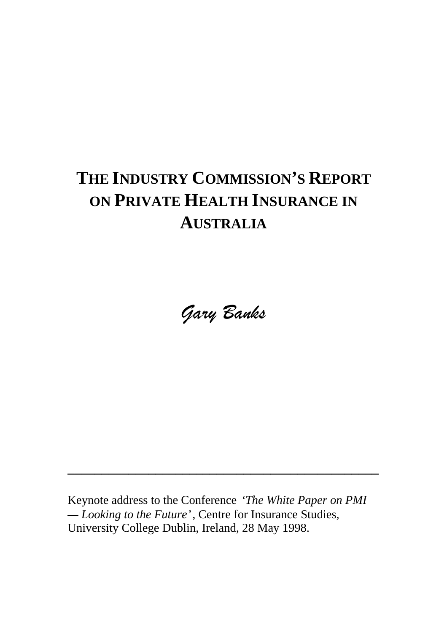## **THE INDUSTRY COMMISSION'S REPORT ON PRIVATE HEALTH INSURANCE IN AUSTRALIA**

Gary Banks

Keynote address to the Conference *'The White Paper on PMI — Looking to the Future'*, Centre for Insurance Studies, University College Dublin, Ireland, 28 May 1998.

**\_\_\_\_\_\_\_\_\_\_\_\_\_\_\_\_\_\_\_\_\_\_\_\_\_\_\_\_\_\_\_\_\_\_\_\_\_\_\_\_\_\_\_\_\_\_**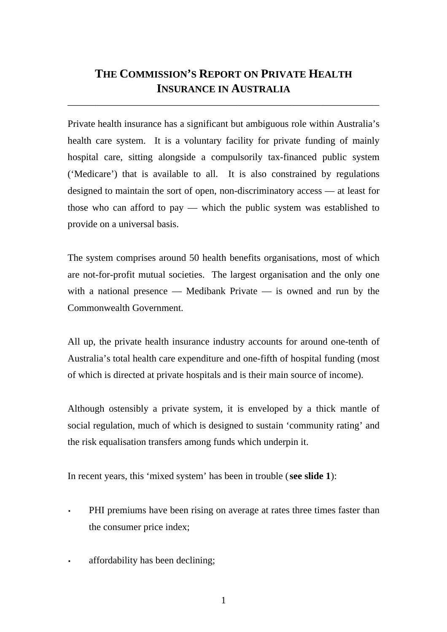#### **THE COMMISSION'S REPORT ON PRIVATE HEALTH INSURANCE IN AUSTRALIA**

\_\_\_\_\_\_\_\_\_\_\_\_\_\_\_\_\_\_\_\_\_\_\_\_\_\_\_\_\_\_\_\_\_\_\_\_\_\_\_\_\_\_\_\_\_\_\_\_\_\_\_\_\_\_\_\_\_\_\_\_\_\_\_\_

Private health insurance has a significant but ambiguous role within Australia's health care system. It is a voluntary facility for private funding of mainly hospital care, sitting alongside a compulsorily tax-financed public system ('Medicare') that is available to all. It is also constrained by regulations designed to maintain the sort of open, non-discriminatory access — at least for those who can afford to pay — which the public system was established to provide on a universal basis.

The system comprises around 50 health benefits organisations, most of which are not-for-profit mutual societies. The largest organisation and the only one with a national presence — Medibank Private — is owned and run by the Commonwealth Government.

All up, the private health insurance industry accounts for around one-tenth of Australia's total health care expenditure and one-fifth of hospital funding (most of which is directed at private hospitals and is their main source of income).

Although ostensibly a private system, it is enveloped by a thick mantle of social regulation, much of which is designed to sustain 'community rating' and the risk equalisation transfers among funds which underpin it.

In recent years, this 'mixed system' has been in trouble (**see slide 1**):

- PHI premiums have been rising on average at rates three times faster than the consumer price index;
- affordability has been declining;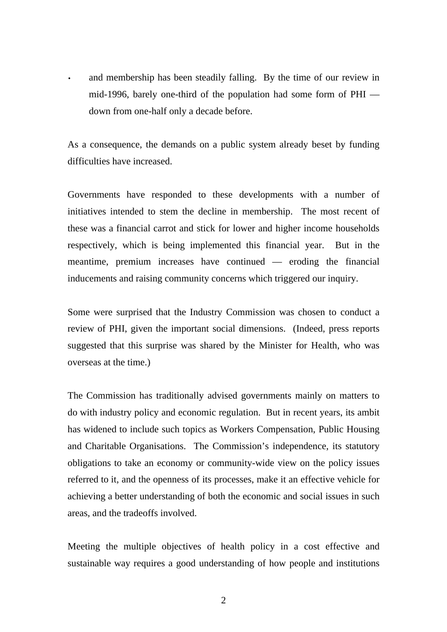and membership has been steadily falling. By the time of our review in mid-1996, barely one-third of the population had some form of PHI down from one-half only a decade before.

As a consequence, the demands on a public system already beset by funding difficulties have increased.

Governments have responded to these developments with a number of initiatives intended to stem the decline in membership. The most recent of these was a financial carrot and stick for lower and higher income households respectively, which is being implemented this financial year. But in the meantime, premium increases have continued — eroding the financial inducements and raising community concerns which triggered our inquiry.

Some were surprised that the Industry Commission was chosen to conduct a review of PHI, given the important social dimensions. (Indeed, press reports suggested that this surprise was shared by the Minister for Health, who was overseas at the time.)

The Commission has traditionally advised governments mainly on matters to do with industry policy and economic regulation. But in recent years, its ambit has widened to include such topics as Workers Compensation, Public Housing and Charitable Organisations. The Commission's independence, its statutory obligations to take an economy or community-wide view on the policy issues referred to it, and the openness of its processes, make it an effective vehicle for achieving a better understanding of both the economic and social issues in such areas, and the tradeoffs involved.

Meeting the multiple objectives of health policy in a cost effective and sustainable way requires a good understanding of how people and institutions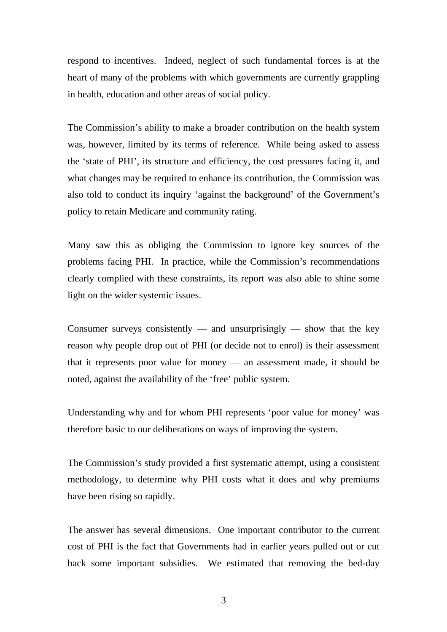respond to incentives. Indeed, neglect of such fundamental forces is at the heart of many of the problems with which governments are currently grappling in health, education and other areas of social policy.

The Commission's ability to make a broader contribution on the health system was, however, limited by its terms of reference. While being asked to assess the 'state of PHI', its structure and efficiency, the cost pressures facing it, and what changes may be required to enhance its contribution, the Commission was also told to conduct its inquiry 'against the background' of the Government's policy to retain Medicare and community rating.

Many saw this as obliging the Commission to ignore key sources of the problems facing PHI. In practice, while the Commission's recommendations clearly complied with these constraints, its report was also able to shine some light on the wider systemic issues.

Consumer surveys consistently — and unsurprisingly — show that the key reason why people drop out of PHI (or decide not to enrol) is their assessment that it represents poor value for money — an assessment made, it should be noted, against the availability of the 'free' public system.

Understanding why and for whom PHI represents 'poor value for money' was therefore basic to our deliberations on ways of improving the system.

The Commission's study provided a first systematic attempt, using a consistent methodology, to determine why PHI costs what it does and why premiums have been rising so rapidly.

The answer has several dimensions. One important contributor to the current cost of PHI is the fact that Governments had in earlier years pulled out or cut back some important subsidies. We estimated that removing the bed-day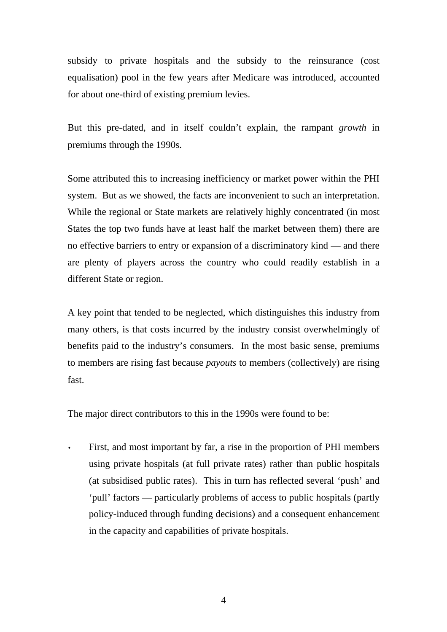subsidy to private hospitals and the subsidy to the reinsurance (cost equalisation) pool in the few years after Medicare was introduced, accounted for about one-third of existing premium levies.

But this pre-dated, and in itself couldn't explain, the rampant *growth* in premiums through the 1990s.

Some attributed this to increasing inefficiency or market power within the PHI system. But as we showed, the facts are inconvenient to such an interpretation. While the regional or State markets are relatively highly concentrated (in most States the top two funds have at least half the market between them) there are no effective barriers to entry or expansion of a discriminatory kind — and there are plenty of players across the country who could readily establish in a different State or region.

A key point that tended to be neglected, which distinguishes this industry from many others, is that costs incurred by the industry consist overwhelmingly of benefits paid to the industry's consumers. In the most basic sense, premiums to members are rising fast because *payouts* to members (collectively) are rising fast.

The major direct contributors to this in the 1990s were found to be:

First, and most important by far, a rise in the proportion of PHI members using private hospitals (at full private rates) rather than public hospitals (at subsidised public rates). This in turn has reflected several 'push' and 'pull' factors — particularly problems of access to public hospitals (partly policy-induced through funding decisions) and a consequent enhancement in the capacity and capabilities of private hospitals.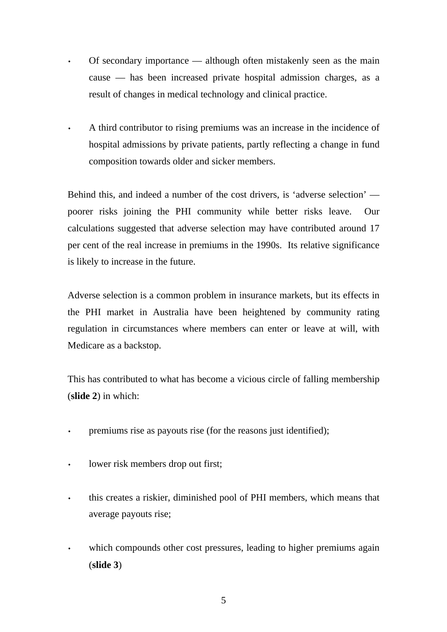- Of secondary importance although often mistakenly seen as the main cause — has been increased private hospital admission charges, as a result of changes in medical technology and clinical practice.
- A third contributor to rising premiums was an increase in the incidence of hospital admissions by private patients, partly reflecting a change in fund composition towards older and sicker members.

Behind this, and indeed a number of the cost drivers, is 'adverse selection' poorer risks joining the PHI community while better risks leave. Our calculations suggested that adverse selection may have contributed around 17 per cent of the real increase in premiums in the 1990s. Its relative significance is likely to increase in the future.

Adverse selection is a common problem in insurance markets, but its effects in the PHI market in Australia have been heightened by community rating regulation in circumstances where members can enter or leave at will, with Medicare as a backstop.

This has contributed to what has become a vicious circle of falling membership (**slide 2**) in which:

- premiums rise as payouts rise (for the reasons just identified);
- lower risk members drop out first;
- this creates a riskier, diminished pool of PHI members, which means that average payouts rise;
- which compounds other cost pressures, leading to higher premiums again (**slide 3**)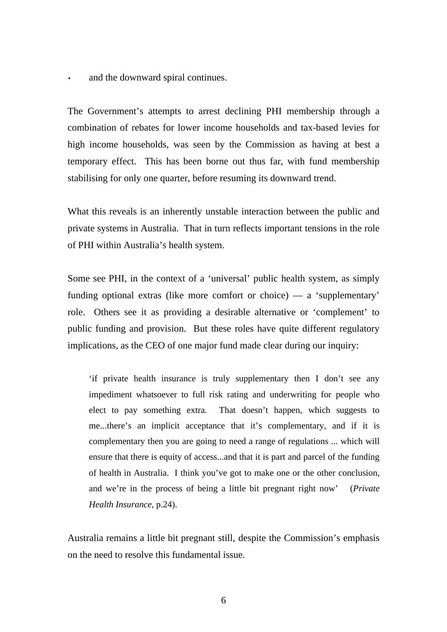and the downward spiral continues.

The Government's attempts to arrest declining PHI membership through a combination of rebates for lower income households and tax-based levies for high income households, was seen by the Commission as having at best a temporary effect. This has been borne out thus far, with fund membership stabilising for only one quarter, before resuming its downward trend.

What this reveals is an inherently unstable interaction between the public and private systems in Australia. That in turn reflects important tensions in the role of PHI within Australia's health system.

Some see PHI, in the context of a 'universal' public health system, as simply funding optional extras (like more comfort or choice) — a 'supplementary' role. Others see it as providing a desirable alternative or 'complement' to public funding and provision. But these roles have quite different regulatory implications, as the CEO of one major fund made clear during our inquiry:

'if private health insurance is truly supplementary then I don't see any impediment whatsoever to full risk rating and underwriting for people who elect to pay something extra. That doesn't happen, which suggests to me...there's an implicit acceptance that it's complementary, and if it is complementary then you are going to need a range of regulations ... which will ensure that there is equity of access...and that it is part and parcel of the funding of health in Australia. I think you've got to make one or the other conclusion, and we're in the process of being a little bit pregnant right now' (*Private Health Insurance*, p.24).

Australia remains a little bit pregnant still, despite the Commission's emphasis on the need to resolve this fundamental issue.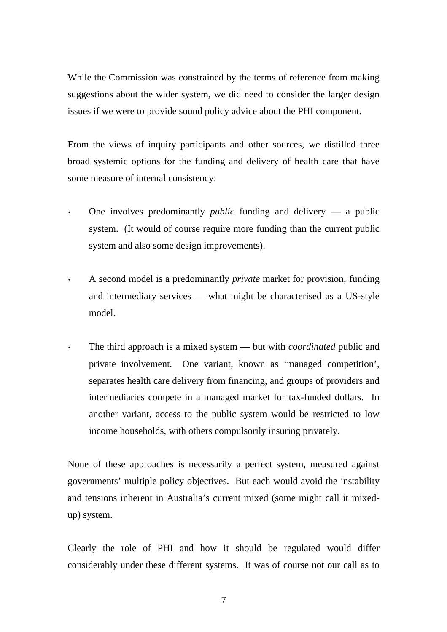While the Commission was constrained by the terms of reference from making suggestions about the wider system, we did need to consider the larger design issues if we were to provide sound policy advice about the PHI component.

From the views of inquiry participants and other sources, we distilled three broad systemic options for the funding and delivery of health care that have some measure of internal consistency:

- One involves predominantly *public* funding and delivery a public system. (It would of course require more funding than the current public system and also some design improvements).
- A second model is a predominantly *private* market for provision, funding and intermediary services — what might be characterised as a US-style model.
- The third approach is a mixed system but with *coordinated* public and private involvement. One variant, known as 'managed competition', separates health care delivery from financing, and groups of providers and intermediaries compete in a managed market for tax-funded dollars. In another variant, access to the public system would be restricted to low income households, with others compulsorily insuring privately.

None of these approaches is necessarily a perfect system, measured against governments' multiple policy objectives. But each would avoid the instability and tensions inherent in Australia's current mixed (some might call it mixedup) system.

Clearly the role of PHI and how it should be regulated would differ considerably under these different systems. It was of course not our call as to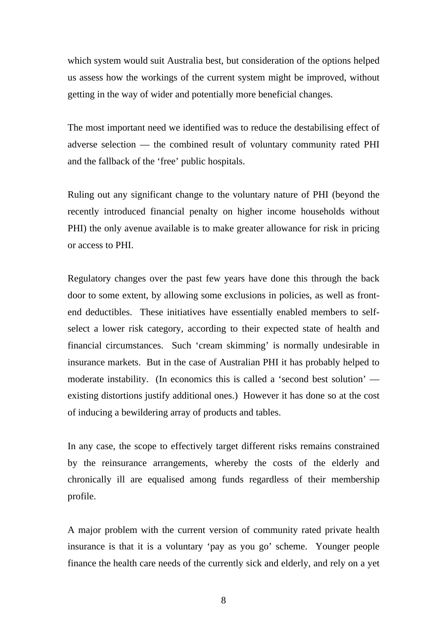which system would suit Australia best, but consideration of the options helped us assess how the workings of the current system might be improved, without getting in the way of wider and potentially more beneficial changes.

The most important need we identified was to reduce the destabilising effect of adverse selection — the combined result of voluntary community rated PHI and the fallback of the 'free' public hospitals.

Ruling out any significant change to the voluntary nature of PHI (beyond the recently introduced financial penalty on higher income households without PHI) the only avenue available is to make greater allowance for risk in pricing or access to PHI.

Regulatory changes over the past few years have done this through the back door to some extent, by allowing some exclusions in policies, as well as frontend deductibles. These initiatives have essentially enabled members to selfselect a lower risk category, according to their expected state of health and financial circumstances. Such 'cream skimming' is normally undesirable in insurance markets. But in the case of Australian PHI it has probably helped to moderate instability. (In economics this is called a 'second best solution' existing distortions justify additional ones.) However it has done so at the cost of inducing a bewildering array of products and tables.

In any case, the scope to effectively target different risks remains constrained by the reinsurance arrangements, whereby the costs of the elderly and chronically ill are equalised among funds regardless of their membership profile.

A major problem with the current version of community rated private health insurance is that it is a voluntary 'pay as you go' scheme. Younger people finance the health care needs of the currently sick and elderly, and rely on a yet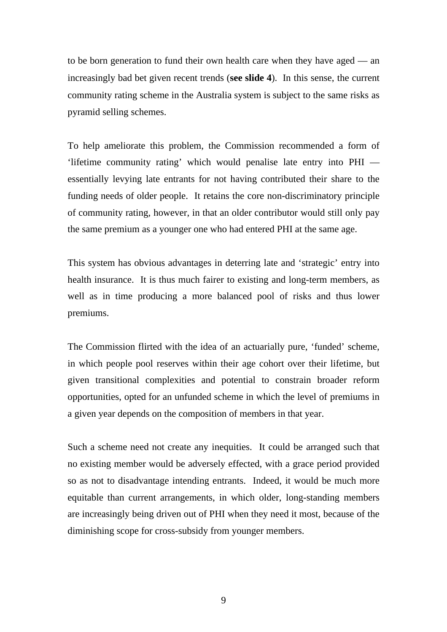to be born generation to fund their own health care when they have aged — an increasingly bad bet given recent trends (**see slide 4**). In this sense, the current community rating scheme in the Australia system is subject to the same risks as pyramid selling schemes.

To help ameliorate this problem, the Commission recommended a form of 'lifetime community rating' which would penalise late entry into PHI essentially levying late entrants for not having contributed their share to the funding needs of older people. It retains the core non-discriminatory principle of community rating, however, in that an older contributor would still only pay the same premium as a younger one who had entered PHI at the same age.

This system has obvious advantages in deterring late and 'strategic' entry into health insurance. It is thus much fairer to existing and long-term members, as well as in time producing a more balanced pool of risks and thus lower premiums.

The Commission flirted with the idea of an actuarially pure, 'funded' scheme, in which people pool reserves within their age cohort over their lifetime, but given transitional complexities and potential to constrain broader reform opportunities, opted for an unfunded scheme in which the level of premiums in a given year depends on the composition of members in that year.

Such a scheme need not create any inequities. It could be arranged such that no existing member would be adversely effected, with a grace period provided so as not to disadvantage intending entrants. Indeed, it would be much more equitable than current arrangements, in which older, long-standing members are increasingly being driven out of PHI when they need it most, because of the diminishing scope for cross-subsidy from younger members.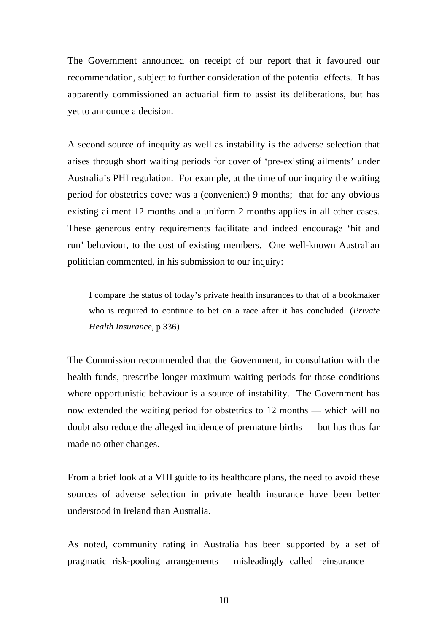The Government announced on receipt of our report that it favoured our recommendation, subject to further consideration of the potential effects. It has apparently commissioned an actuarial firm to assist its deliberations, but has yet to announce a decision.

A second source of inequity as well as instability is the adverse selection that arises through short waiting periods for cover of 'pre-existing ailments' under Australia's PHI regulation. For example, at the time of our inquiry the waiting period for obstetrics cover was a (convenient) 9 months; that for any obvious existing ailment 12 months and a uniform 2 months applies in all other cases. These generous entry requirements facilitate and indeed encourage 'hit and run' behaviour, to the cost of existing members. One well-known Australian politician commented, in his submission to our inquiry:

I compare the status of today's private health insurances to that of a bookmaker who is required to continue to bet on a race after it has concluded. (*Private Health Insurance*, p.336)

The Commission recommended that the Government, in consultation with the health funds, prescribe longer maximum waiting periods for those conditions where opportunistic behaviour is a source of instability. The Government has now extended the waiting period for obstetrics to 12 months — which will no doubt also reduce the alleged incidence of premature births — but has thus far made no other changes.

From a brief look at a VHI guide to its healthcare plans, the need to avoid these sources of adverse selection in private health insurance have been better understood in Ireland than Australia.

As noted, community rating in Australia has been supported by a set of pragmatic risk-pooling arrangements —misleadingly called reinsurance —

10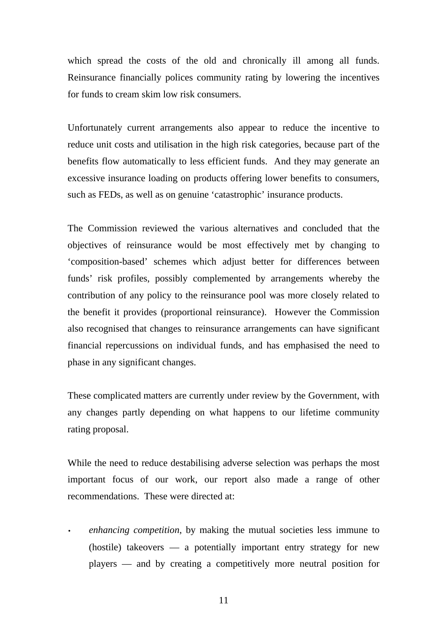which spread the costs of the old and chronically ill among all funds. Reinsurance financially polices community rating by lowering the incentives for funds to cream skim low risk consumers.

Unfortunately current arrangements also appear to reduce the incentive to reduce unit costs and utilisation in the high risk categories, because part of the benefits flow automatically to less efficient funds. And they may generate an excessive insurance loading on products offering lower benefits to consumers, such as FEDs, as well as on genuine 'catastrophic' insurance products.

The Commission reviewed the various alternatives and concluded that the objectives of reinsurance would be most effectively met by changing to 'composition-based' schemes which adjust better for differences between funds' risk profiles, possibly complemented by arrangements whereby the contribution of any policy to the reinsurance pool was more closely related to the benefit it provides (proportional reinsurance). However the Commission also recognised that changes to reinsurance arrangements can have significant financial repercussions on individual funds, and has emphasised the need to phase in any significant changes.

These complicated matters are currently under review by the Government, with any changes partly depending on what happens to our lifetime community rating proposal.

While the need to reduce destabilising adverse selection was perhaps the most important focus of our work, our report also made a range of other recommendations. These were directed at:

• *enhancing competition*, by making the mutual societies less immune to (hostile) takeovers — a potentially important entry strategy for new players — and by creating a competitively more neutral position for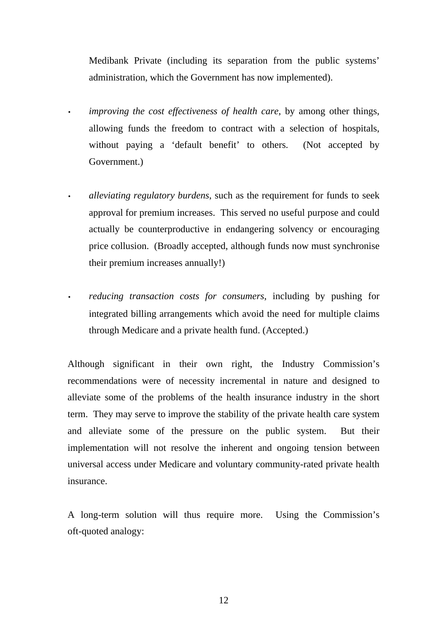Medibank Private (including its separation from the public systems' administration, which the Government has now implemented).

- *improving the cost effectiveness of health care*, by among other things, allowing funds the freedom to contract with a selection of hospitals, without paying a 'default benefit' to others. (Not accepted by Government.)
	- *alleviating regulatory burdens*, such as the requirement for funds to seek approval for premium increases. This served no useful purpose and could actually be counterproductive in endangering solvency or encouraging price collusion. (Broadly accepted, although funds now must synchronise their premium increases annually!)
- *reducing transaction costs for consumers*, including by pushing for integrated billing arrangements which avoid the need for multiple claims through Medicare and a private health fund. (Accepted.)

Although significant in their own right, the Industry Commission's recommendations were of necessity incremental in nature and designed to alleviate some of the problems of the health insurance industry in the short term. They may serve to improve the stability of the private health care system and alleviate some of the pressure on the public system. But their implementation will not resolve the inherent and ongoing tension between universal access under Medicare and voluntary community-rated private health insurance.

A long-term solution will thus require more. Using the Commission's oft-quoted analogy: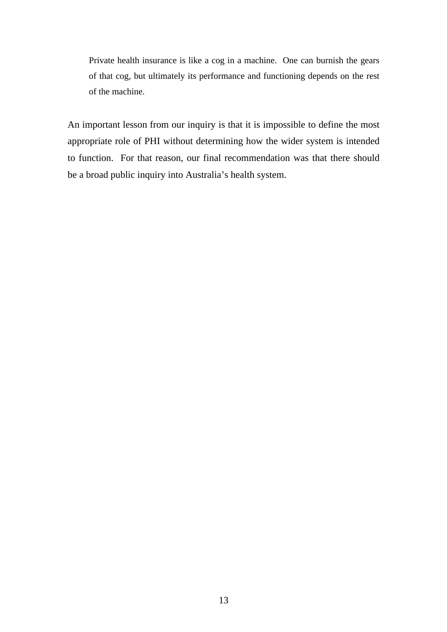Private health insurance is like a cog in a machine. One can burnish the gears of that cog, but ultimately its performance and functioning depends on the rest of the machine.

An important lesson from our inquiry is that it is impossible to define the most appropriate role of PHI without determining how the wider system is intended to function. For that reason, our final recommendation was that there should be a broad public inquiry into Australia's health system.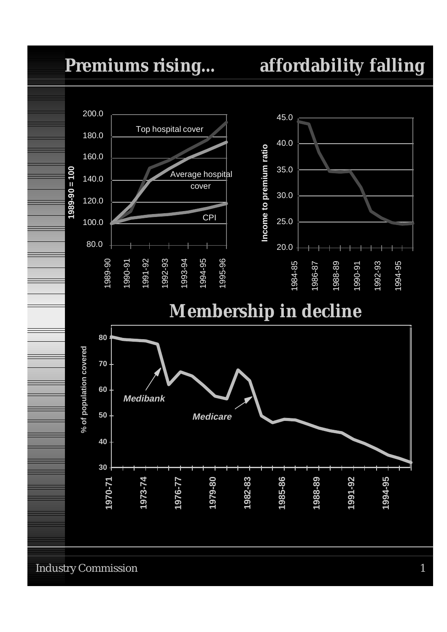### **Premiums rising... affordability falling**



Industry Commission 1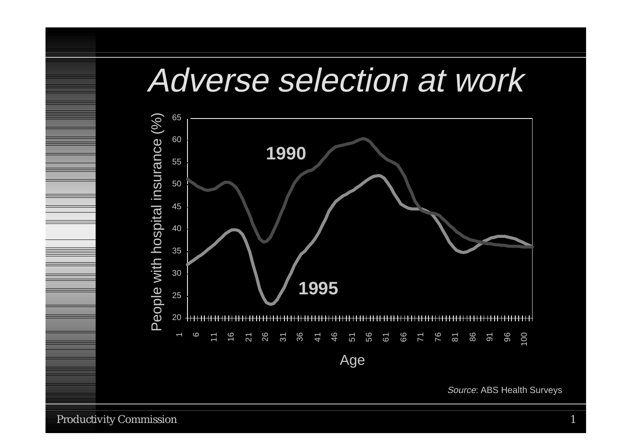# Adverse selection at work



Source: ABS Health Surveys

Productivity Commission 1